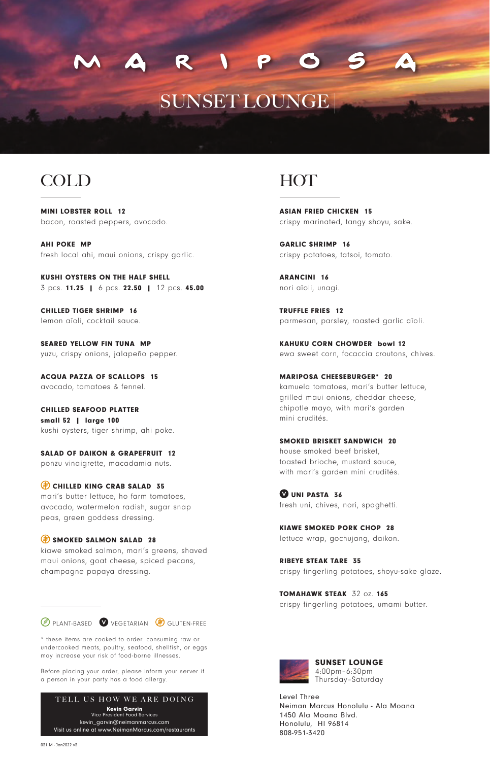# SUNSET LOUNGE

### COLD

MINI LOBSTER ROLL 12 bacon, roasted peppers, avocado.

AHI POKE MP fresh local ahi, maui onions, crispy garlic.

KUSHI OYSTERS ON THE HALF SHELL 3 pcs. 11.25 | 6 pcs. 22.50 | 12 pcs. 45.00

CHILLED TIGER SHRIMP 16 lemon aïoli, cocktail sauce.

SEARED YELLOW FIN TUNA MP yuzu, crispy onions, jalapeño pepper.

ACQUA PAZZA OF SCALLOPS 15 avocado, tomatoes & fennel.

CHILLED SEAFOOD PLATTER small 52 | large 100 kushi oysters, tiger shrimp, ahi poke.

SALAD OF DAIKON & GRAPEFRUIT 12 ponzu vinaigrette, macadamia nuts.

CHILLED KING CRAB SALAD 35 mari's butter lettuce, ho farm tomatoes, avocado, watermelon radish, sugar snap peas, green goddess dressing.

SMOKED SALMON SALAD 28 kiawe smoked salmon, mari's greens, shaved maui onions, goat cheese, spiced pecans, champagne papaya dressing.

**PLANT-BASED VEGETARIAN B** GLUTEN-FREE

\* these items are cooked to order. consuming raw or undercooked meats, poultry, seafood, shellfish, or eggs may increase your risk of food-borne illnesses.

Before placing your order, please inform your server if a person in your party has a food allergy.



### HOT

ASIAN FRIED CHICKEN 15 crispy marinated, tangy shoyu, sake.

GARLIC SHRIMP 16 crispy potatoes, tatsoi, tomato.

ARANCINI 16 nori aïoli, unagi.

TRUFFLE FRIES 12 parmesan, parsley, roasted garlic aïoli.

KAHUKU CORN CHOWDER bowl 12 ewa sweet corn, focaccia croutons, chives.

MARIPOSA CHEESEBURGER\* 20 kamuela tomatoes, mari's butter lettuce, grilled maui onions, cheddar cheese, chipotle mayo, with mari's garden mini crudités.

SMOKED BRISKET SANDWICH 20 house smoked beef brisket, toasted brioche, mustard sauce, with mari's garden mini crudités.

UNI PASTA 36 fresh uni, chives, nori, spaghetti.

KIAWE SMOKED PORK CHOP 28 lettuce wrap, gochujang, daikon.

RIBEYE STEAK TARE 35 crispy fingerling potatoes, shoyu-sake glaze.

TOMAHAWK STEAK 32 oz. 165 crispy fingerling potatoes, umami butter.



SUNSET LOUNGE 4:00pm–6:30pm Thursday–Saturday

Level Three Neiman Marcus Honolulu - Ala Moana 1450 Ala Moana Blvd. Honolulu, HI 96814 808-951-3420